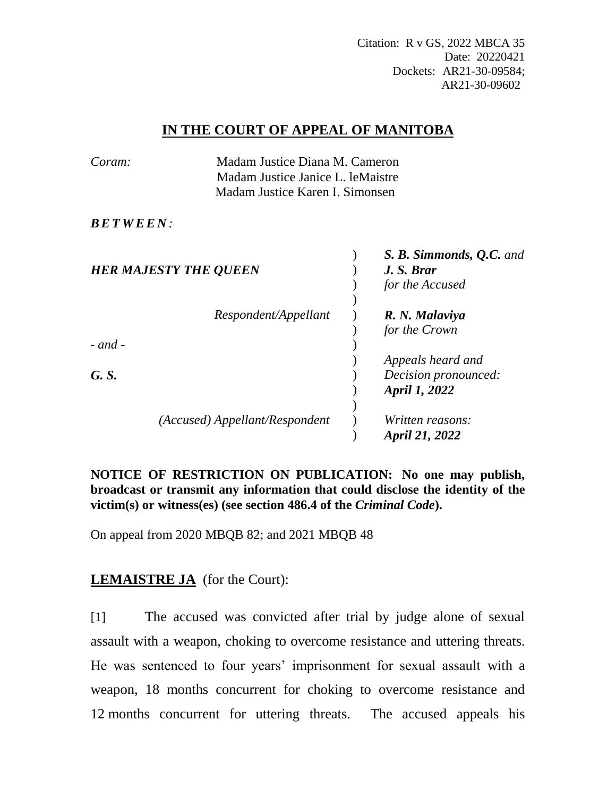Citation: R v GS, 2022 MBCA 35 Date: 20220421 Dockets: AR21-30-09584; AR21-30-09602

## **IN THE COURT OF APPEAL OF MANITOBA**

| Coram:                       | Madam Justice Diana M. Cameron<br>Madam Justice Janice L. leMaistre<br>Madam Justice Karen I. Simonsen |  |                          |
|------------------------------|--------------------------------------------------------------------------------------------------------|--|--------------------------|
|                              |                                                                                                        |  |                          |
|                              |                                                                                                        |  |                          |
| <i>BETWEEN:</i>              |                                                                                                        |  |                          |
|                              |                                                                                                        |  | S. B. Simmonds, Q.C. and |
| <b>HER MAJESTY THE QUEEN</b> |                                                                                                        |  | J.S. Brar                |
|                              |                                                                                                        |  | for the Accused          |
|                              |                                                                                                        |  |                          |
|                              | Respondent/Appellant                                                                                   |  | R. N. Malaviya           |
|                              |                                                                                                        |  | for the Crown            |
| $-$ and $-$                  |                                                                                                        |  |                          |
|                              |                                                                                                        |  | Appeals heard and        |
| G. S.                        |                                                                                                        |  | Decision pronounced:     |
|                              |                                                                                                        |  | April 1, 2022            |
|                              |                                                                                                        |  |                          |
|                              | (Accused) Appellant/Respondent                                                                         |  | Written reasons:         |
|                              |                                                                                                        |  | April 21, 2022           |

**NOTICE OF RESTRICTION ON PUBLICATION: No one may publish, broadcast or transmit any information that could disclose the identity of the victim(s) or witness(es) (see section 486.4 of the** *Criminal Code***).** 

On appeal from 2020 MBQB 82; and 2021 MBQB 48

# **LEMAISTRE JA** (for the Court):

[1] The accused was convicted after trial by judge alone of sexual assault with a weapon, choking to overcome resistance and uttering threats. He was sentenced to four years' imprisonment for sexual assault with a weapon, 18 months concurrent for choking to overcome resistance and 12 months concurrent for uttering threats. The accused appeals his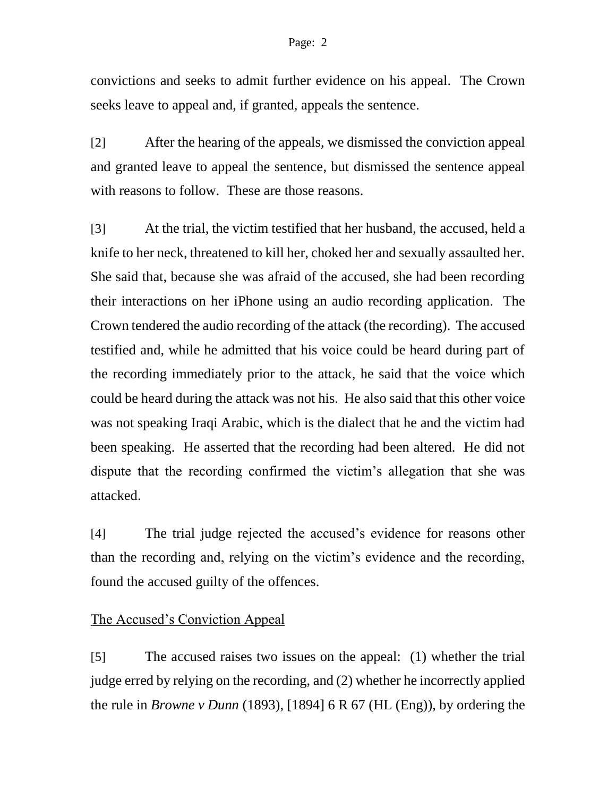#### Page: 2

convictions and seeks to admit further evidence on his appeal. The Crown seeks leave to appeal and, if granted, appeals the sentence.

[2] After the hearing of the appeals, we dismissed the conviction appeal and granted leave to appeal the sentence, but dismissed the sentence appeal with reasons to follow. These are those reasons.

[3] At the trial, the victim testified that her husband, the accused, held a knife to her neck, threatened to kill her, choked her and sexually assaulted her. She said that, because she was afraid of the accused, she had been recording their interactions on her iPhone using an audio recording application. The Crown tendered the audio recording of the attack (the recording). The accused testified and, while he admitted that his voice could be heard during part of the recording immediately prior to the attack, he said that the voice which could be heard during the attack was not his. He also said that this other voice was not speaking Iraqi Arabic, which is the dialect that he and the victim had been speaking. He asserted that the recording had been altered. He did not dispute that the recording confirmed the victim's allegation that she was attacked.

[4] The trial judge rejected the accused's evidence for reasons other than the recording and, relying on the victim's evidence and the recording, found the accused guilty of the offences.

# The Accused's Conviction Appeal

[5] The accused raises two issues on the appeal: (1) whether the trial judge erred by relying on the recording, and (2) whether he incorrectly applied the rule in *Browne v Dunn* (1893), [1894] 6 R 67 (HL (Eng)), by ordering the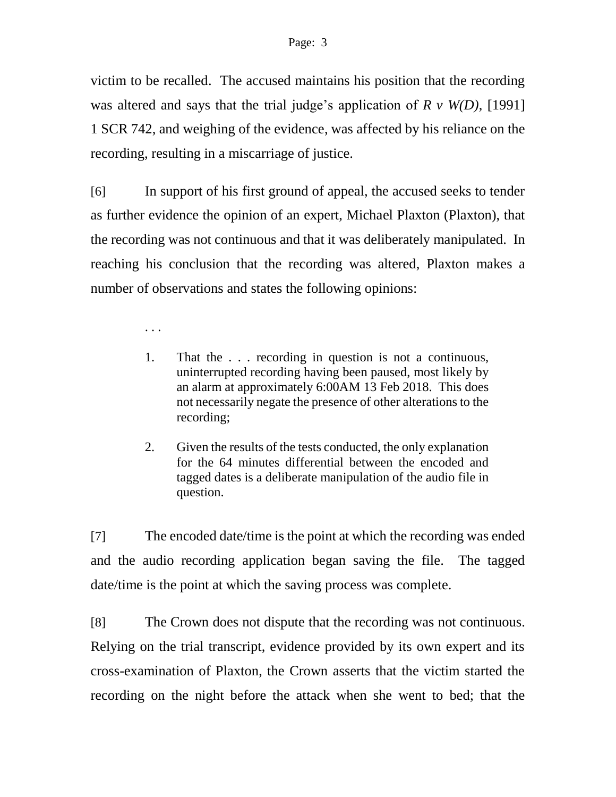victim to be recalled. The accused maintains his position that the recording was altered and says that the trial judge's application of *R v W(D)*, [1991] 1 SCR 742, and weighing of the evidence, was affected by his reliance on the recording, resulting in a miscarriage of justice.

[6] In support of his first ground of appeal, the accused seeks to tender as further evidence the opinion of an expert, Michael Plaxton (Plaxton), that the recording was not continuous and that it was deliberately manipulated. In reaching his conclusion that the recording was altered, Plaxton makes a number of observations and states the following opinions:

. . .

- 1. That the . . . recording in question is not a continuous, uninterrupted recording having been paused, most likely by an alarm at approximately 6:00AM 13 Feb 2018. This does not necessarily negate the presence of other alterations to the recording;
- 2. Given the results of the tests conducted, the only explanation for the 64 minutes differential between the encoded and tagged dates is a deliberate manipulation of the audio file in question.

[7] The encoded date/time is the point at which the recording was ended and the audio recording application began saving the file. The tagged date/time is the point at which the saving process was complete.

[8] The Crown does not dispute that the recording was not continuous. Relying on the trial transcript, evidence provided by its own expert and its cross-examination of Plaxton, the Crown asserts that the victim started the recording on the night before the attack when she went to bed; that the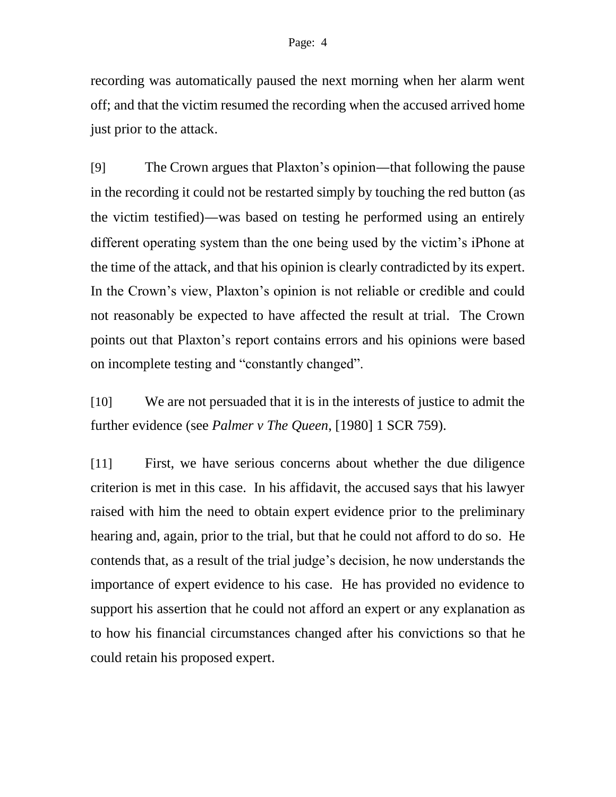recording was automatically paused the next morning when her alarm went off; and that the victim resumed the recording when the accused arrived home just prior to the attack.

[9] The Crown argues that Plaxton's opinion—that following the pause in the recording it could not be restarted simply by touching the red button (as the victim testified)—was based on testing he performed using an entirely different operating system than the one being used by the victim's iPhone at the time of the attack, and that his opinion is clearly contradicted by its expert. In the Crown's view, Plaxton's opinion is not reliable or credible and could not reasonably be expected to have affected the result at trial. The Crown points out that Plaxton's report contains errors and his opinions were based on incomplete testing and "constantly changed".

[10] We are not persuaded that it is in the interests of justice to admit the further evidence (see *Palmer v The Queen*, [1980] 1 SCR 759).

[11] First, we have serious concerns about whether the due diligence criterion is met in this case. In his affidavit, the accused says that his lawyer raised with him the need to obtain expert evidence prior to the preliminary hearing and, again, prior to the trial, but that he could not afford to do so. He contends that, as a result of the trial judge's decision, he now understands the importance of expert evidence to his case. He has provided no evidence to support his assertion that he could not afford an expert or any explanation as to how his financial circumstances changed after his convictions so that he could retain his proposed expert.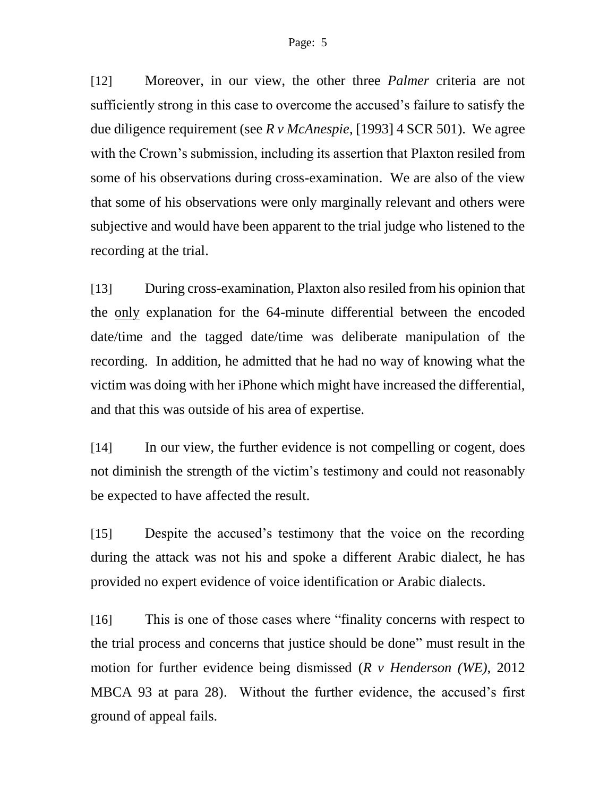[12] Moreover, in our view, the other three *Palmer* criteria are not sufficiently strong in this case to overcome the accused's failure to satisfy the due diligence requirement (see *R v McAnespie*, [1993] 4 SCR 501). We agree with the Crown's submission, including its assertion that Plaxton resiled from some of his observations during cross-examination. We are also of the view that some of his observations were only marginally relevant and others were subjective and would have been apparent to the trial judge who listened to the recording at the trial.

[13] During cross-examination, Plaxton also resiled from his opinion that the only explanation for the 64-minute differential between the encoded date/time and the tagged date/time was deliberate manipulation of the recording. In addition, he admitted that he had no way of knowing what the victim was doing with her iPhone which might have increased the differential, and that this was outside of his area of expertise.

[14] In our view, the further evidence is not compelling or cogent, does not diminish the strength of the victim's testimony and could not reasonably be expected to have affected the result.

[15] Despite the accused's testimony that the voice on the recording during the attack was not his and spoke a different Arabic dialect, he has provided no expert evidence of voice identification or Arabic dialects.

[16] This is one of those cases where "finality concerns with respect to the trial process and concerns that justice should be done" must result in the motion for further evidence being dismissed (*R v Henderson (WE)*, 2012 MBCA 93 at para 28). Without the further evidence, the accused's first ground of appeal fails.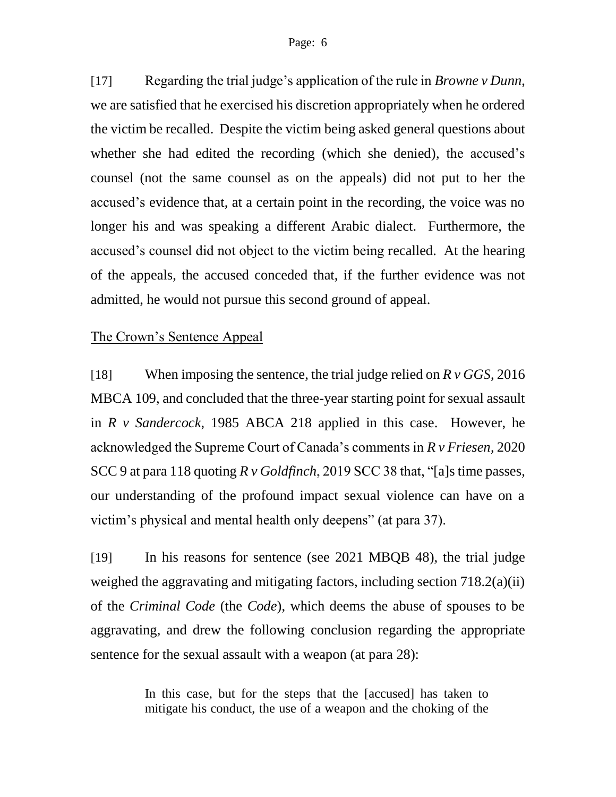[17] Regarding the trial judge's application of the rule in *Browne v Dunn*, we are satisfied that he exercised his discretion appropriately when he ordered the victim be recalled. Despite the victim being asked general questions about whether she had edited the recording (which she denied), the accused's counsel (not the same counsel as on the appeals) did not put to her the accused's evidence that, at a certain point in the recording, the voice was no longer his and was speaking a different Arabic dialect. Furthermore, the accused's counsel did not object to the victim being recalled. At the hearing of the appeals, the accused conceded that, if the further evidence was not admitted, he would not pursue this second ground of appeal.

### The Crown's Sentence Appeal

[18] When imposing the sentence, the trial judge relied on *R v GGS*, 2016 MBCA 109, and concluded that the three-year starting point for sexual assault in *R v Sandercock*, 1985 ABCA 218 applied in this case. However, he acknowledged the Supreme Court of Canada's comments in *R v Friesen*, 2020 SCC 9 at para 118 quoting *R v Goldfinch*, 2019 SCC 38 that, "[a]s time passes, our understanding of the profound impact sexual violence can have on a victim's physical and mental health only deepens" (at para 37).

[19] In his reasons for sentence (see 2021 MBQB 48), the trial judge weighed the aggravating and mitigating factors, including section 718.2(a)(ii) of the *Criminal Code* (the *Code*), which deems the abuse of spouses to be aggravating, and drew the following conclusion regarding the appropriate sentence for the sexual assault with a weapon (at para 28):

> In this case, but for the steps that the [accused] has taken to mitigate his conduct, the use of a weapon and the choking of the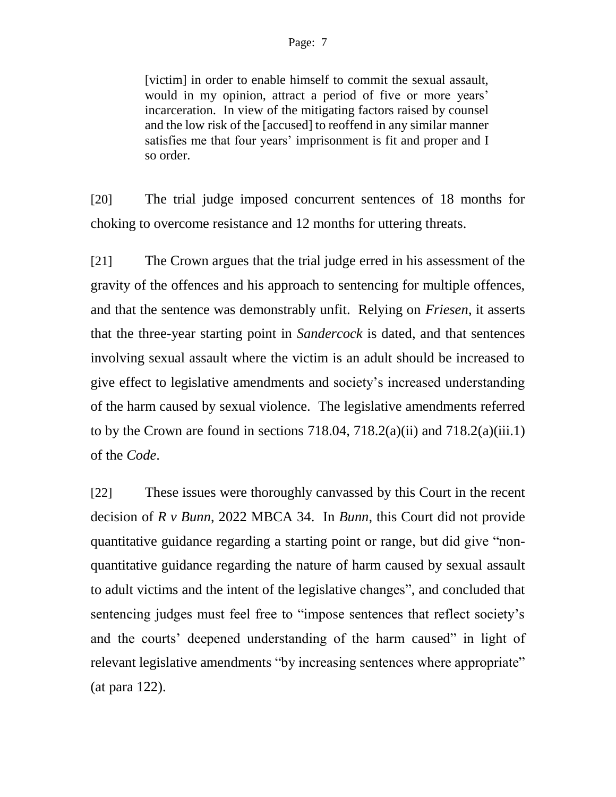[victim] in order to enable himself to commit the sexual assault, would in my opinion, attract a period of five or more years' incarceration. In view of the mitigating factors raised by counsel and the low risk of the [accused] to reoffend in any similar manner satisfies me that four years' imprisonment is fit and proper and I so order.

[20] The trial judge imposed concurrent sentences of 18 months for choking to overcome resistance and 12 months for uttering threats.

[21] The Crown argues that the trial judge erred in his assessment of the gravity of the offences and his approach to sentencing for multiple offences, and that the sentence was demonstrably unfit. Relying on *Friesen*, it asserts that the three-year starting point in *Sandercock* is dated, and that sentences involving sexual assault where the victim is an adult should be increased to give effect to legislative amendments and society's increased understanding of the harm caused by sexual violence. The legislative amendments referred to by the Crown are found in sections  $718.04$ ,  $718.2(a)(ii)$  and  $718.2(a)(iii.1)$ of the *Code*.

[22] These issues were thoroughly canvassed by this Court in the recent decision of *R v Bunn*, 2022 MBCA 34. In *Bunn*, this Court did not provide quantitative guidance regarding a starting point or range, but did give "nonquantitative guidance regarding the nature of harm caused by sexual assault to adult victims and the intent of the legislative changes", and concluded that sentencing judges must feel free to "impose sentences that reflect society's and the courts' deepened understanding of the harm caused" in light of relevant legislative amendments "by increasing sentences where appropriate" (at para 122).